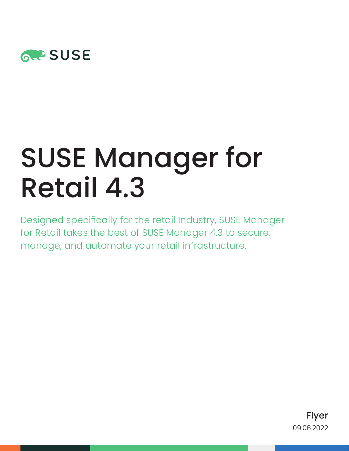

# SUSE Manager for Retail 4.3

Designed specifically for the retail Industry, SUSE Manager for Retail takes the best of SUSE Manager 4.3 to secure, manage, and automate your retail infrastructure.

> Flyer 09.06.2022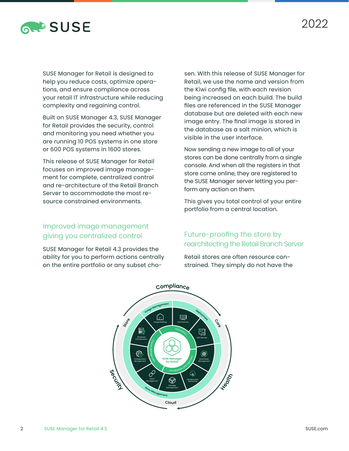

SUSE Manager for Retail is designed to help you reduce costs, optimize operations, and ensure compliance across your retail IT infrastructure while reducing complexity and regaining control.

Built on SUSE Manager 4.3, SUSE Manager for Retail provides the security, control and monitoring you need whether you are running 10 POS systems in one store or 600 POS systems in 1600 stores.

This release of SUSE Manager for Retail focuses on improved image management for complete, centralized control and re-architecture of the Retail Branch Server to accommodate the most resource constrained environments.

### Improved image management giving you centralized control

SUSE Manager for Retail 4.3 provides the ability for you to perform actions centrally on the entire portfolio or any subset cho-

sen. With this release of SUSE Manager for Retail, we use the name and version from the Kiwi config file, with each revision being increased on each build. The build files are referenced in the SUSE Manager database but are deleted with each new image entry. The final image is stored in the database as a salt minion, which is visible in the user interface.

Now sending a new image to all of your stores can be done centrally from a single console. And when all the registers in that store come online, they are registered to the SUSE Manager server letting you perform any action on them.

This gives you total control of your entire portfolio from a central location.

#### Future-proofing the store by rearchitecting the Retail Branch Server

Retail stores are often resource constrained. They simply do not have the

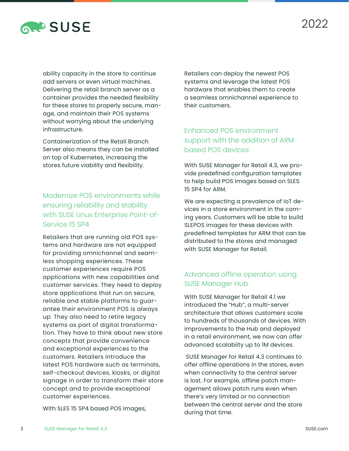

ability capacity in the store to continue add servers or even virtual machines. Delivering the retail branch server as a container provides the needed flexibility for these stores to properly secure, manage, and maintain their POS systems without worrying about the underlying infrastructure.

Containerization of the Retail Branch Server also means they can be installed on top of Kubernetes, increasing the stores future viability and flexibility.

### Modernize POS environments while ensuring reliability and stability with SUSE Linux Enterprise Point-of-Service 15 SP4

Retailers that are running old POS systems and hardware are not equipped for providing omnichannel and seamless shopping experiences. These customer experiences require POS applications with new capabilities and customer services. They need to deploy store applications that run on secure, reliable and stable platforms to guarantee their environment POS is always up. They also need to retire legacy systems as part of digital transformation. They have to think about new store concepts that provide convenience and exceptional experiences to the customers. Retailers introduce the latest POS hardware such as terminals, self-checkout devices, kiosks, or digital signage in order to transform their store concept and to provide exceptional customer experiences.

With SLES 15 SP4 based POS images,

Retailers can deploy the newest POS systems and leverage the latest POS hardware that enables them to create a seamless omnichannel experience to their customers.

#### Enhanced POS environment support with the addition of ARM based POS devices

With SUSE Manager for Retail 4.3, we provide predefined configuration templates to help build POS images based on SLES 15 SP4 for ARM.

We are expecting a prevalence of IoT devices in a store environment in the coming years. Customers will be able to build SLEPOS images for these devices with predefined templates for ARM that can be distributed to the stores and managed with SUSE Manager for Retail.

#### Advanced offline operation using SUSE Manager Hub

With SUSE Manager for Retail 4.1 we introduced the "Hub", a multi-server architecture that allows customers scale to hundreds of thousands of devices. With improvements to the Hub and deployed in a retail environment, we now can offer advanced scalabiity up to 1M devices.

 SUSE Manager for Retail 4.3 continues to offer offline operations in the stores, even when connectivity to the central server is lost. For example, offline patch management allows patch runs even when there's very limited or no connection between the central server and the store during that time.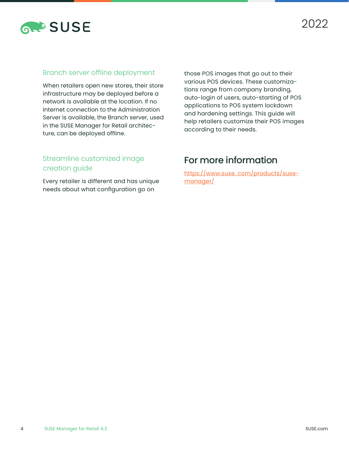

#### Branch server offline deployment

When retailers open new stores, their store infrastructure may be deployed before a network is available at the location. If no Internet connection to the Administration Server is available, the Branch server, used in the SUSE Manager for Retail architecture, can be deployed offline.

those POS images that go out to their various POS devices. These customizations range from company branding, auto-login of users, auto-starting of POS applications to POS system lockdown and hardening settings. This guide will help retailers customize their POS images according to their needs.

#### Streamline customized image creation guide

Every retailer is different and has unique needs about what configuration go on

## For more information

[https://www.suse. com/products/suse](https://www.suse. com/products/suse-manager/)[manager/](https://www.suse. com/products/suse-manager/)